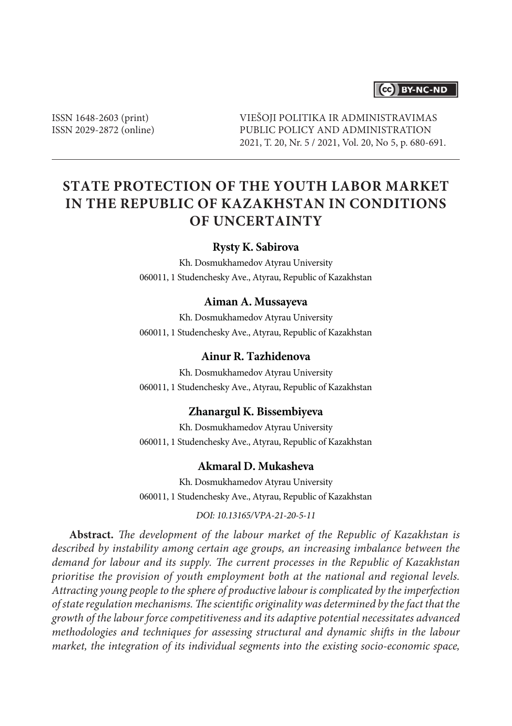# CC BY-NC-ND

ISSN 1648-2603 (print) ISSN 2029-2872 (online) VIEŠOJI POLITIKA IR ADMINISTRAVIMAS PUBLIC POLICY AND ADMINISTRATION 2021, T. 20, Nr. 5 / 2021, Vol. 20, No 5, p. 680-691.

# **STATE PROTECTION OF THE YOUTH LABOR MARKET IN THE REPUBLIC OF KAZAKHSTAN IN CONDITIONS OF UNCERTAINTY**

#### **Rysty K. Sabirova**

Kh. Dosmukhamedov Atyrau University 060011, 1 Studenchesky Ave., Atyrau, Republic of Kazakhstan

#### **Aiman A. Mussayeva**

Kh. Dosmukhamedov Atyrau University 060011, 1 Studenchesky Ave., Atyrau, Republic of Kazakhstan

### **Ainur R. Tazhidenova**

Kh. Dosmukhamedov Atyrau University 060011, 1 Studenchesky Ave., Atyrau, Republic of Kazakhstan

#### **Zhanargul K. Bissembiyeva**

Kh. Dosmukhamedov Atyrau University 060011, 1 Studenchesky Ave., Atyrau, Republic of Kazakhstan

## **Akmaral D. Mukasheva**

Kh. Dosmukhamedov Atyrau University 060011, 1 Studenchesky Ave., Atyrau, Republic of Kazakhstan

*DOI: 10.13165/VPA-21-20-5-11*

**Abstract.** *The development of the labour market of the Republic of Kazakhstan is described by instability among certain age groups, an increasing imbalance between the demand for labour and its supply. The current processes in the Republic of Kazakhstan prioritise the provision of youth employment both at the national and regional levels. Attracting young people to the sphere of productive labour is complicated by the imperfection of state regulation mechanisms. The scientific originality was determined by the fact that the growth of the labour force competitiveness and its adaptive potential necessitates advanced methodologies and techniques for assessing structural and dynamic shifts in the labour market, the integration of its individual segments into the existing socio-economic space,*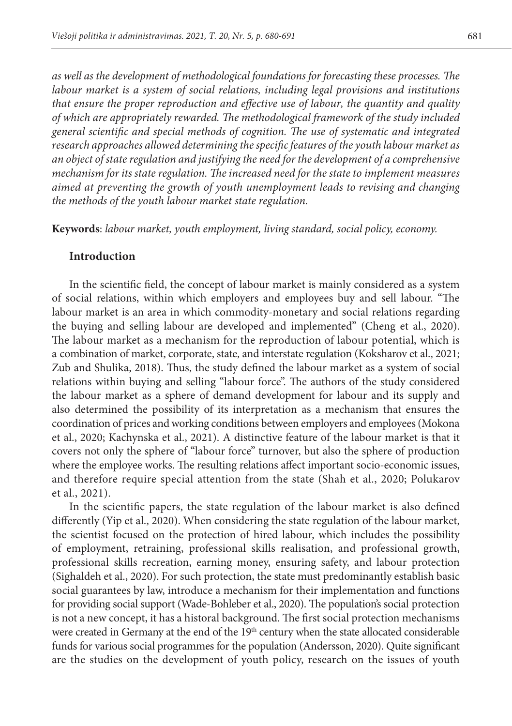*as well as the development of methodological foundations for forecasting these processes. The labour market is a system of social relations, including legal provisions and institutions that ensure the proper reproduction and effective use of labour, the quantity and quality of which are appropriately rewarded. The methodological framework of the study included general scientific and special methods of cognition. The use of systematic and integrated research approaches allowed determining the specific features of the youth labour market as an object of state regulation and justifying the need for the development of a comprehensive mechanism for its state regulation. The increased need for the state to implement measures aimed at preventing the growth of youth unemployment leads to revising and changing the methods of the youth labour market state regulation.*

**Keywords**: *labour market, youth employment, living standard, social policy, economy.*

#### **Introduction**

In the scientific field, the concept of labour market is mainly considered as a system of social relations, within which employers and employees buy and sell labour. "The labour market is an area in which commodity-monetary and social relations regarding the buying and selling labour are developed and implemented" (Cheng et al., 2020). The labour market as a mechanism for the reproduction of labour potential, which is a combination of market, corporate, state, and interstate regulation (Koksharov et al., 2021; Zub and Shulika, 2018). Thus, the study defined the labour market as a system of social relations within buying and selling "labour force". The authors of the study considered the labour market as a sphere of demand development for labour and its supply and also determined the possibility of its interpretation as a mechanism that ensures the coordination of prices and working conditions between employers and employees (Mokona et al., 2020; Kachynska et al., 2021). A distinctive feature of the labour market is that it covers not only the sphere of "labour force" turnover, but also the sphere of production where the employee works. The resulting relations affect important socio-economic issues, and therefore require special attention from the state (Shah et al., 2020; Polukarov et al., 2021).

In the scientific papers, the state regulation of the labour market is also defined differently (Yip et al., 2020). When considering the state regulation of the labour market, the scientist focused on the protection of hired labour, which includes the possibility of employment, retraining, professional skills realisation, and professional growth, professional skills recreation, earning money, ensuring safety, and labour protection (Sighaldeh et al., 2020). For such protection, the state must predominantly establish basic social guarantees by law, introduce a mechanism for their implementation and functions for providing social support (Wade-Bohleber et al., 2020). The population's social protection is not a new concept, it has a historal background. The first social protection mechanisms were created in Germany at the end of the 19<sup>th</sup> century when the state allocated considerable funds for various social programmes for the population (Andersson, 2020). Quite significant are the studies on the development of youth policy, research on the issues of youth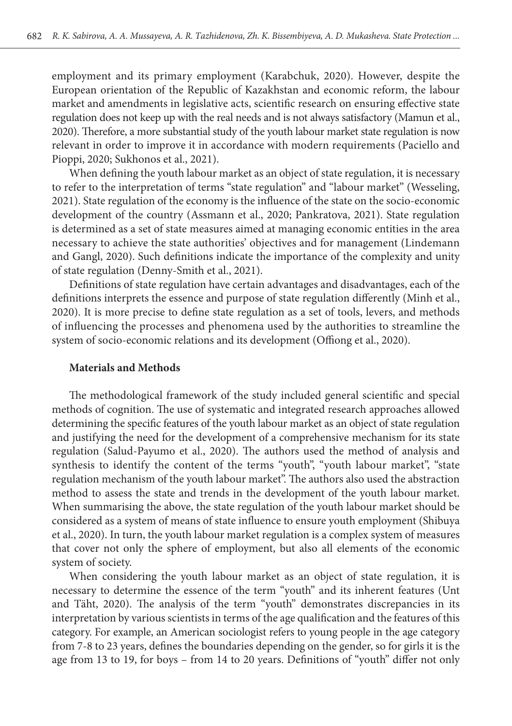employment and its primary employment (Karabchuk, 2020). However, despite the European orientation of the Republic of Kazakhstan and economic reform, the labour market and amendments in legislative acts, scientific research on ensuring effective state regulation does not keep up with the real needs and is not always satisfactory (Mamun et al., 2020). Therefore, a more substantial study of the youth labour market state regulation is now relevant in order to improve it in accordance with modern requirements (Paciello and Pioppi, 2020; Sukhonos et al., 2021).

When defining the youth labour market as an object of state regulation, it is necessary to refer to the interpretation of terms "state regulation" and "labour market" (Wesseling, 2021). State regulation of the economy is the influence of the state on the socio-economic development of the country (Assmann et al., 2020; Pankratova, 2021). State regulation is determined as a set of state measures aimed at managing economic entities in the area necessary to achieve the state authorities' objectives and for management (Lindemann and Gangl, 2020). Such definitions indicate the importance of the complexity and unity of state regulation (Denny-Smith et al., 2021).

Definitions of state regulation have certain advantages and disadvantages, each of the definitions interprets the essence and purpose of state regulation differently (Minh et al., 2020). It is more precise to define state regulation as a set of tools, levers, and methods of influencing the processes and phenomena used by the authorities to streamline the system of socio-economic relations and its development (Offiong et al., 2020).

#### **Materials and Methods**

The methodological framework of the study included general scientific and special methods of cognition. The use of systematic and integrated research approaches allowed determining the specific features of the youth labour market as an object of state regulation and justifying the need for the development of a comprehensive mechanism for its state regulation (Salud-Payumo et al., 2020). The authors used the method of analysis and synthesis to identify the content of the terms "youth", "youth labour market", "state regulation mechanism of the youth labour market". The authors also used the abstraction method to assess the state and trends in the development of the youth labour market. When summarising the above, the state regulation of the youth labour market should be considered as a system of means of state influence to ensure youth employment (Shibuya et al., 2020). In turn, the youth labour market regulation is a complex system of measures that cover not only the sphere of employment, but also all elements of the economic system of society.

When considering the youth labour market as an object of state regulation, it is necessary to determine the essence of the term "youth" and its inherent features (Unt and Täht, 2020). The analysis of the term "youth" demonstrates discrepancies in its interpretation by various scientists in terms of the age qualification and the features of this category. For example, an American sociologist refers to young people in the age category from 7-8 to 23 years, defines the boundaries depending on the gender, so for girls it is the age from 13 to 19, for boys – from 14 to 20 years. Definitions of "youth" differ not only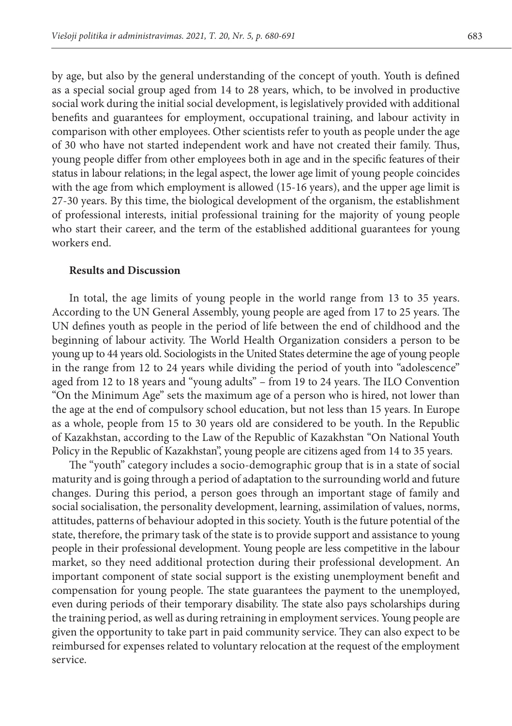by age, but also by the general understanding of the concept of youth. Youth is defined as a special social group aged from 14 to 28 years, which, to be involved in productive social work during the initial social development, is legislatively provided with additional benefits and guarantees for employment, occupational training, and labour activity in comparison with other employees. Other scientists refer to youth as people under the age of 30 who have not started independent work and have not created their family. Thus, young people differ from other employees both in age and in the specific features of their status in labour relations; in the legal aspect, the lower age limit of young people coincides with the age from which employment is allowed (15-16 years), and the upper age limit is 27-30 years. By this time, the biological development of the organism, the establishment of professional interests, initial professional training for the majority of young people who start their career, and the term of the established additional guarantees for young workers end.

## **Results and Discussion**

In total, the age limits of young people in the world range from 13 to 35 years. According to the UN General Assembly, young people are aged from 17 to 25 years. The UN defines youth as people in the period of life between the end of childhood and the beginning of labour activity. The World Health Organization considers a person to be young up to 44 years old. Sociologists in the United States determine the age of young people in the range from 12 to 24 years while dividing the period of youth into "adolescence" aged from 12 to 18 years and "young adults" – from 19 to 24 years. The ILO Convention "On the Minimum Age" sets the maximum age of a person who is hired, not lower than the age at the end of compulsory school education, but not less than 15 years. In Europe as a whole, people from 15 to 30 years old are considered to be youth. In the Republic of Kazakhstan, according to the Law of the Republic of Kazakhstan "On National Youth Policy in the Republic of Kazakhstan", young people are citizens aged from 14 to 35 years.

The "youth" category includes a socio-demographic group that is in a state of social maturity and is going through a period of adaptation to the surrounding world and future changes. During this period, a person goes through an important stage of family and social socialisation, the personality development, learning, assimilation of values, norms, attitudes, patterns of behaviour adopted in this society. Youth is the future potential of the state, therefore, the primary task of the state is to provide support and assistance to young people in their professional development. Young people are less competitive in the labour market, so they need additional protection during their professional development. An important component of state social support is the existing unemployment benefit and compensation for young people. The state guarantees the payment to the unemployed, even during periods of their temporary disability. The state also pays scholarships during the training period, as well as during retraining in employment services. Young people are given the opportunity to take part in paid community service. They can also expect to be reimbursed for expenses related to voluntary relocation at the request of the employment service.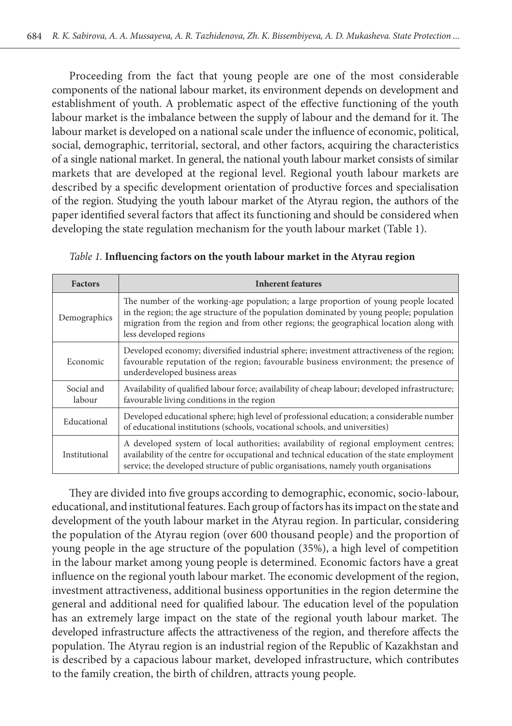Proceeding from the fact that young people are one of the most considerable components of the national labour market, its environment depends on development and establishment of youth. A problematic aspect of the effective functioning of the youth labour market is the imbalance between the supply of labour and the demand for it. The labour market is developed on a national scale under the influence of economic, political, social, demographic, territorial, sectoral, and other factors, acquiring the characteristics of a single national market. In general, the national youth labour market consists of similar markets that are developed at the regional level. Regional youth labour markets are described by a specific development orientation of productive forces and specialisation of the region. Studying the youth labour market of the Atyrau region, the authors of the paper identified several factors that affect its functioning and should be considered when developing the state regulation mechanism for the youth labour market (Table 1).

| <b>Factors</b>       | <b>Inherent features</b>                                                                                                                                                                                                                                                                             |
|----------------------|------------------------------------------------------------------------------------------------------------------------------------------------------------------------------------------------------------------------------------------------------------------------------------------------------|
| Demographics         | The number of the working-age population; a large proportion of young people located<br>in the region; the age structure of the population dominated by young people; population<br>migration from the region and from other regions; the geographical location along with<br>less developed regions |
| Economic             | Developed economy; diversified industrial sphere; investment attractiveness of the region;<br>favourable reputation of the region; favourable business environment; the presence of<br>underdeveloped business areas                                                                                 |
| Social and<br>labour | Availability of qualified labour force; availability of cheap labour; developed infrastructure;<br>favourable living conditions in the region                                                                                                                                                        |
| Educational          | Developed educational sphere; high level of professional education; a considerable number<br>of educational institutions (schools, vocational schools, and universities)                                                                                                                             |
| Institutional        | A developed system of local authorities; availability of regional employment centres;<br>availability of the centre for occupational and technical education of the state employment<br>service; the developed structure of public organisations, namely youth organisations                         |

*Table 1.* **Influencing factors on the youth labour market in the Atyrau region**

They are divided into five groups according to demographic, economic, socio-labour, educational, and institutional features. Each group of factors has its impact on the state and development of the youth labour market in the Atyrau region. In particular, considering the population of the Atyrau region (over 600 thousand people) and the proportion of young people in the age structure of the population (35%), a high level of competition in the labour market among young people is determined. Economic factors have a great influence on the regional youth labour market. The economic development of the region, investment attractiveness, additional business opportunities in the region determine the general and additional need for qualified labour. The education level of the population has an extremely large impact on the state of the regional youth labour market. The developed infrastructure affects the attractiveness of the region, and therefore affects the population. The Atyrau region is an industrial region of the Republic of Kazakhstan and is described by a capacious labour market, developed infrastructure, which contributes to the family creation, the birth of children, attracts young people.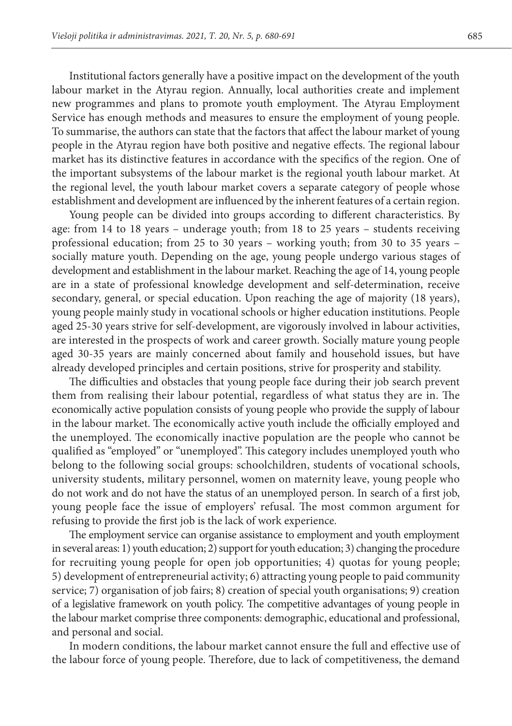Institutional factors generally have a positive impact on the development of the youth labour market in the Atyrau region. Annually, local authorities create and implement new programmes and plans to promote youth employment. The Atyrau Employment Service has enough methods and measures to ensure the employment of young people. To summarise, the authors can state that the factors that affect the labour market of young people in the Atyrau region have both positive and negative effects. The regional labour market has its distinctive features in accordance with the specifics of the region. One of the important subsystems of the labour market is the regional youth labour market. At the regional level, the youth labour market covers a separate category of people whose establishment and development are influenced by the inherent features of a certain region.

Young people can be divided into groups according to different characteristics. By age: from 14 to 18 years – underage youth; from 18 to 25 years – students receiving professional education; from 25 to 30 years – working youth; from 30 to 35 years – socially mature youth. Depending on the age, young people undergo various stages of development and establishment in the labour market. Reaching the age of 14, young people are in a state of professional knowledge development and self-determination, receive secondary, general, or special education. Upon reaching the age of majority (18 years), young people mainly study in vocational schools or higher education institutions. People aged 25-30 years strive for self-development, are vigorously involved in labour activities, are interested in the prospects of work and career growth. Socially mature young people aged 30-35 years are mainly concerned about family and household issues, but have already developed principles and certain positions, strive for prosperity and stability.

The difficulties and obstacles that young people face during their job search prevent them from realising their labour potential, regardless of what status they are in. The economically active population consists of young people who provide the supply of labour in the labour market. The economically active youth include the officially employed and the unemployed. The economically inactive population are the people who cannot be qualified as "employed" or "unemployed". This category includes unemployed youth who belong to the following social groups: schoolchildren, students of vocational schools, university students, military personnel, women on maternity leave, young people who do not work and do not have the status of an unemployed person. In search of a first job, young people face the issue of employers' refusal. The most common argument for refusing to provide the first job is the lack of work experience.

The employment service can organise assistance to employment and youth employment in several areas: 1) youth education; 2) support for youth education; 3) changing the procedure for recruiting young people for open job opportunities; 4) quotas for young people; 5) development of entrepreneurial activity; 6) attracting young people to paid community service; 7) organisation of job fairs; 8) creation of special youth organisations; 9) creation of a legislative framework on youth policy. The competitive advantages of young people in the labour market comprise three components: demographic, educational and professional, and personal and social.

In modern conditions, the labour market cannot ensure the full and effective use of the labour force of young people. Therefore, due to lack of competitiveness, the demand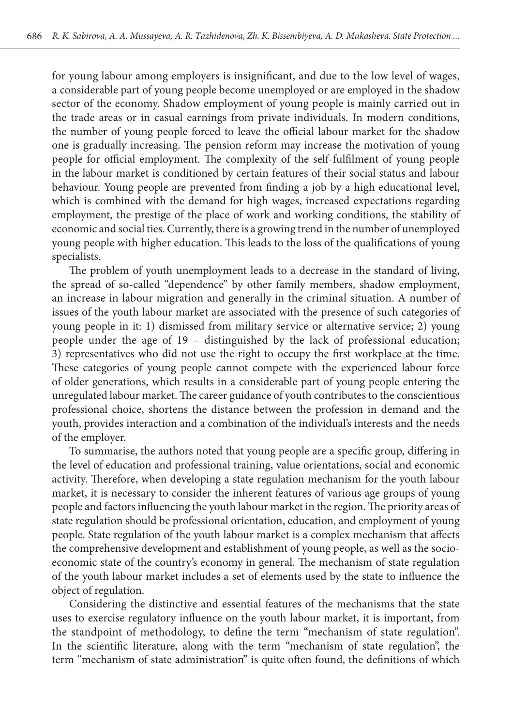for young labour among employers is insignificant, and due to the low level of wages, a considerable part of young people become unemployed or are employed in the shadow sector of the economy. Shadow employment of young people is mainly carried out in the trade areas or in casual earnings from private individuals. In modern conditions, the number of young people forced to leave the official labour market for the shadow one is gradually increasing. The pension reform may increase the motivation of young people for official employment. The complexity of the self-fulfilment of young people in the labour market is conditioned by certain features of their social status and labour behaviour. Young people are prevented from finding a job by a high educational level, which is combined with the demand for high wages, increased expectations regarding employment, the prestige of the place of work and working conditions, the stability of economic and social ties. Currently, there is a growing trend in the number of unemployed young people with higher education. This leads to the loss of the qualifications of young specialists.

The problem of youth unemployment leads to a decrease in the standard of living, the spread of so-called "dependence" by other family members, shadow employment, an increase in labour migration and generally in the criminal situation. A number of issues of the youth labour market are associated with the presence of such categories of young people in it: 1) dismissed from military service or alternative service; 2) young people under the age of 19 – distinguished by the lack of professional education; 3) representatives who did not use the right to occupy the first workplace at the time. These categories of young people cannot compete with the experienced labour force of older generations, which results in a considerable part of young people entering the unregulated labour market. The career guidance of youth contributes to the conscientious professional choice, shortens the distance between the profession in demand and the youth, provides interaction and a combination of the individual's interests and the needs of the employer.

To summarise, the authors noted that young people are a specific group, differing in the level of education and professional training, value orientations, social and economic activity. Therefore, when developing a state regulation mechanism for the youth labour market, it is necessary to consider the inherent features of various age groups of young people and factors influencing the youth labour market in the region. The priority areas of state regulation should be professional orientation, education, and employment of young people. State regulation of the youth labour market is a complex mechanism that affects the comprehensive development and establishment of young people, as well as the socioeconomic state of the country's economy in general. The mechanism of state regulation of the youth labour market includes a set of elements used by the state to influence the object of regulation.

Considering the distinctive and essential features of the mechanisms that the state uses to exercise regulatory influence on the youth labour market, it is important, from the standpoint of methodology, to define the term "mechanism of state regulation". In the scientific literature, along with the term "mechanism of state regulation", the term "mechanism of state administration" is quite often found, the definitions of which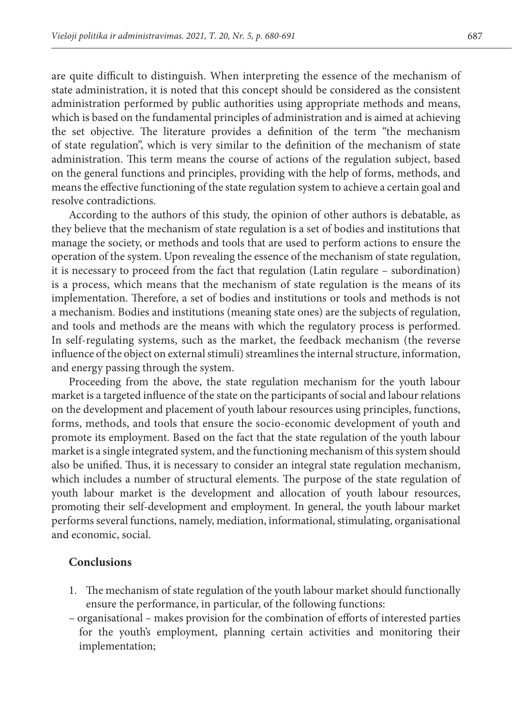are quite difficult to distinguish. When interpreting the essence of the mechanism of state administration, it is noted that this concept should be considered as the consistent administration performed by public authorities using appropriate methods and means, which is based on the fundamental principles of administration and is aimed at achieving the set objective. The literature provides a definition of the term "the mechanism of state regulation", which is very similar to the definition of the mechanism of state administration. This term means the course of actions of the regulation subject, based on the general functions and principles, providing with the help of forms, methods, and means the effective functioning of the state regulation system to achieve a certain goal and resolve contradictions.

According to the authors of this study, the opinion of other authors is debatable, as they believe that the mechanism of state regulation is a set of bodies and institutions that manage the society, or methods and tools that are used to perform actions to ensure the operation of the system. Upon revealing the essence of the mechanism of state regulation, it is necessary to proceed from the fact that regulation (Latin regulare – subordination) is a process, which means that the mechanism of state regulation is the means of its implementation. Therefore, a set of bodies and institutions or tools and methods is not a mechanism. Bodies and institutions (meaning state ones) are the subjects of regulation, and tools and methods are the means with which the regulatory process is performed. In self-regulating systems, such as the market, the feedback mechanism (the reverse influence of the object on external stimuli) streamlines the internal structure, information, and energy passing through the system.

Proceeding from the above, the state regulation mechanism for the youth labour market is a targeted influence of the state on the participants of social and labour relations on the development and placement of youth labour resources using principles, functions, forms, methods, and tools that ensure the socio-economic development of youth and promote its employment. Based on the fact that the state regulation of the youth labour market is a single integrated system, and the functioning mechanism of this system should also be unified. Thus, it is necessary to consider an integral state regulation mechanism, which includes a number of structural elements. The purpose of the state regulation of youth labour market is the development and allocation of youth labour resources, promoting their self-development and employment. In general, the youth labour market performs several functions, namely, mediation, informational, stimulating, organisational and economic, social.

#### **Conclusions**

- 1. The mechanism of state regulation of the youth labour market should functionally ensure the performance, in particular, of the following functions:
- organisational makes provision for the combination of efforts of interested parties for the youth's employment, planning certain activities and monitoring their implementation;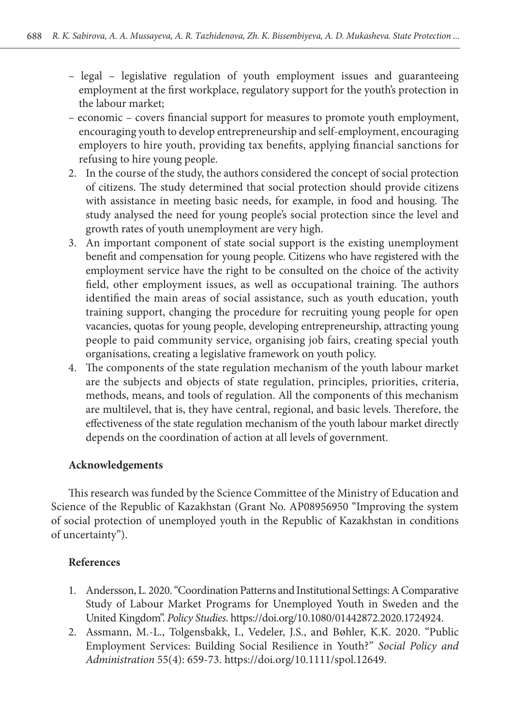- legal legislative regulation of youth employment issues and guaranteeing employment at the first workplace, regulatory support for the youth's protection in the labour market;
- economic covers financial support for measures to promote youth employment, encouraging youth to develop entrepreneurship and self-employment, encouraging employers to hire youth, providing tax benefits, applying financial sanctions for refusing to hire young people.
- 2. In the course of the study, the authors considered the concept of social protection of citizens. The study determined that social protection should provide citizens with assistance in meeting basic needs, for example, in food and housing. The study analysed the need for young people's social protection since the level and growth rates of youth unemployment are very high.
- 3. An important component of state social support is the existing unemployment benefit and compensation for young people. Citizens who have registered with the employment service have the right to be consulted on the choice of the activity field, other employment issues, as well as occupational training. The authors identified the main areas of social assistance, such as youth education, youth training support, changing the procedure for recruiting young people for open vacancies, quotas for young people, developing entrepreneurship, attracting young people to paid community service, organising job fairs, creating special youth organisations, creating a legislative framework on youth policy.
- 4. The components of the state regulation mechanism of the youth labour market are the subjects and objects of state regulation, principles, priorities, criteria, methods, means, and tools of regulation. All the components of this mechanism are multilevel, that is, they have central, regional, and basic levels. Therefore, the effectiveness of the state regulation mechanism of the youth labour market directly depends on the coordination of action at all levels of government.

# **Acknowledgements**

This research was funded by the Science Committee of the Ministry of Education and Science of the Republic of Kazakhstan (Grant No. AP08956950 "Improving the system of social protection of unemployed youth in the Republic of Kazakhstan in conditions of uncertainty").

# **References**

- 1. Andersson, L. 2020. "Coordination Patterns and Institutional Settings: A Comparative Study of Labour Market Programs for Unemployed Youth in Sweden and the United Kingdom". *Policy Studies*. https://doi.org/10.1080/01442872.2020.1724924.
- 2. Assmann, M.-L., Tolgensbakk, I., Vedeler, J.S., and Bøhler, K.K. 2020. "Public Employment Services: Building Social Resilience in Youth?" *Social Policy and Administration* 55(4): 659-73. https://doi.org/10.1111/spol.12649.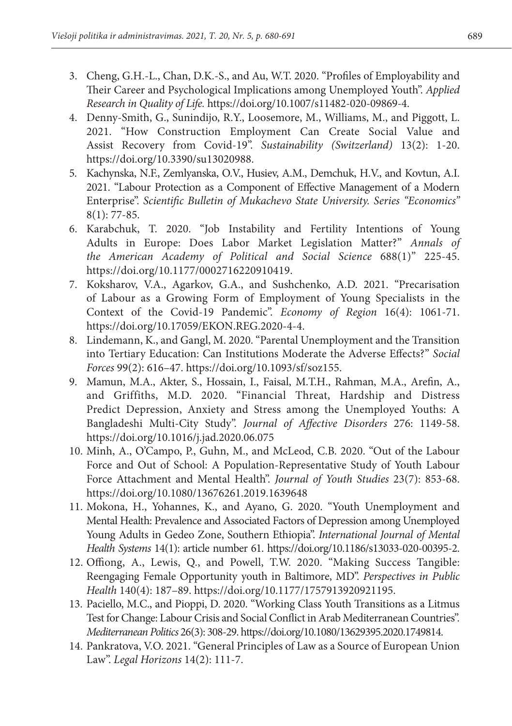- 3. Cheng, G.H.-L., Chan, D.K.-S., and Au, W.T. 2020. "Profiles of Employability and Their Career and Psychological Implications among Unemployed Youth". *Applied Research in Quality of Life.* https://doi.org/10.1007/s11482-020-09869-4.
- 4. Denny‐Smith, G., Sunindijo, R.Y., Loosemore, M., Williams, M., and Piggott, L. 2021. "How Construction Employment Can Create Social Value and Assist Recovery from Covid‐19". *Sustainability (Switzerland)* 13(2): 1-20. https://doi.org/10.3390/su13020988.
- 5. Kachynska, N.F., Zemlyanska, O.V., Husiev, A.M., Demchuk, H.V., and Kovtun, A.I. 2021. "Labour Protection as a Component of Effective Management of a Modern Enterprise". *Scientific Bulletin of Mukachevo State University. Series "Economics"* 8(1): 77-85.
- 6. Karabchuk, T. 2020. "Job Instability and Fertility Intentions of Young Adults in Europe: Does Labor Market Legislation Matter?" *Annals of the American Academy of Political and Social Science* 688(1)" 225-45. https://doi.org/10.1177/0002716220910419.
- 7. Koksharov, V.A., Agarkov, G.A., and Sushchenko, A.D. 2021. "Precarisation of Labour as a Growing Form of Employment of Young Specialists in the Context of the Сovid-19 Pandemic". *Economy of Region* 16(4): 1061-71. https://doi.org/10.17059/EKON.REG.2020-4-4.
- 8. Lindemann, K., and Gangl, M. 2020. "Parental Unemployment and the Transition into Tertiary Education: Can Institutions Moderate the Adverse Effects?" *Social Forces* 99(2): 616–47. https://doi.org/10.1093/sf/soz155.
- 9. Mamun, M.A., Akter, S., Hossain, I., Faisal, M.T.H., Rahman, M.A., Arefin, A., and Griffiths, M.D. 2020. "Financial Threat, Hardship and Distress Predict Depression, Anxiety and Stress among the Unemployed Youths: A Bangladeshi Multi-City Study". *Journal of Affective Disorders* 276: 1149-58. https://doi.org/10.1016/j.jad.2020.06.075
- 10. Minh, A., O'Campo, P., Guhn, M., and McLeod, C.B. 2020. "Out of the Labour Force and Out of School: A Population-Representative Study of Youth Labour Force Attachment and Mental Health". *Journal of Youth Studies* 23(7): 853-68. https://doi.org/10.1080/13676261.2019.1639648
- 11. Mokona, H., Yohannes, K., and Ayano, G. 2020. "Youth Unemployment and Mental Health: Prevalence and Associated Factors of Depression among Unemployed Young Adults in Gedeo Zone, Southern Ethiopia". *International Journal of Mental Health Systems* 14(1): article number 61. https://doi.org/10.1186/s13033-020-00395-2.
- 12. Offiong, A., Lewis, Q., and Powell, T.W. 2020. "Making Success Tangible: Reengaging Female Opportunity youth in Baltimore, MD". *Perspectives in Public Health* 140(4): 187–89. https://doi.org/10.1177/1757913920921195.
- 13. Paciello, M.C., and Pioppi, D. 2020. "Working Class Youth Transitions as a Litmus Test for Change: Labour Crisis and Social Conflict in Arab Mediterranean Countries". *Mediterranean Politics* 26(3): 308-29. https://doi.org/10.1080/13629395.2020.1749814.
- 14. Pankratova, V.O. 2021. "General Principles of Law as a Source of European Union Law". *Legal Horizons* 14(2): 111-7.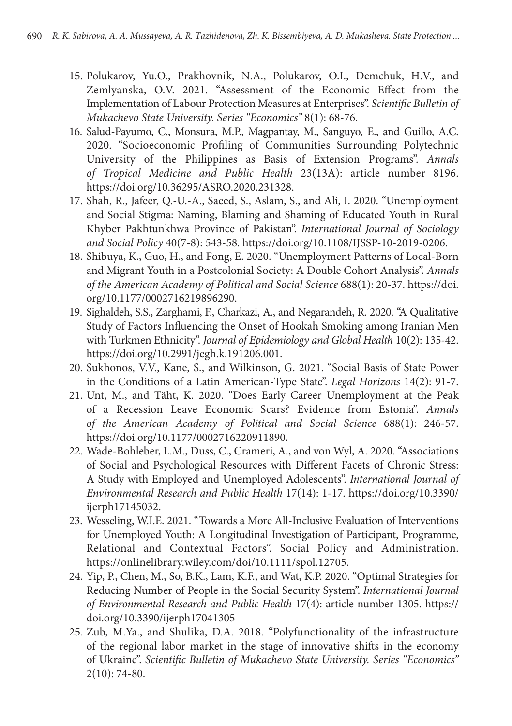- 15. Polukarov, Yu.O., Prakhovnik, N.A., Polukarov, O.I., Demchuk, H.V., and Zemlyanska, O.V. 2021. "Assessment of the Economic Effect from the Implementation of Labour Protection Measures at Enterprises". *Scientific Bulletin of Mukachevo State University. Series "Economics"* 8(1): 68-76.
- 16. Salud-Payumo, C., Monsura, M.P., Magpantay, M., Sanguyo, E., and Guillo, A.C. 2020. "Socioeconomic Profiling of Communities Surrounding Polytechnic University of the Philippines as Basis of Extension Programs". *Annals of Tropical Medicine and Public Health* 23(13A): article number 8196. https://doi.org/10.36295/ASRO.2020.231328.
- 17. Shah, R., Jafeer, Q.-U.-A., Saeed, S., Aslam, S., and Ali, I. 2020. "Unemployment and Social Stigma: Naming, Blaming and Shaming of Educated Youth in Rural Khyber Pakhtunkhwa Province of Pakistan". *International Journal of Sociology and Social Policy* 40(7-8): 543-58. https://doi.org/10.1108/IJSSP-10-2019-0206.
- 18. Shibuya, K., Guo, H., and Fong, E. 2020. "Unemployment Patterns of Local-Born and Migrant Youth in a Postcolonial Society: A Double Cohort Analysis". *Annals of the American Academy of Political and Social Science* 688(1): 20-37. https://doi. org/10.1177/0002716219896290.
- 19. Sighaldeh, S.S., Zarghami, F., Charkazi, A., and Negarandeh, R. 2020. "A Qualitative Study of Factors Influencing the Onset of Hookah Smoking among Iranian Men with Turkmen Ethnicity". *Journal of Epidemiology and Global Health* 10(2): 135-42. https://doi.org/10.2991/jegh.k.191206.001.
- 20. Sukhonos, V.V., Kane, S., and Wilkinson, G. 2021. "Social Basis of State Power in the Conditions of a Latin American-Type State". *Legal Horizons* 14(2): 91-7.
- 21. Unt, M., and Täht, K. 2020. "Does Early Career Unemployment at the Peak of a Recession Leave Economic Scars? Evidence from Estonia". *Annals of the American Academy of Political and Social Science* 688(1): 246-57. https://doi.org/10.1177/0002716220911890.
- 22. Wade-Bohleber, L.M., Duss, C., Crameri, A., and von Wyl, A. 2020. "Associations of Social and Psychological Resources with Different Facets of Chronic Stress: A Study with Employed and Unemployed Adolescents". *International Journal of Environmental Research and Public Health* 17(14): 1-17. https://doi.org/10.3390/ ijerph17145032.
- 23. Wesseling, W.I.E. 2021. "Towards a More All-Inclusive Evaluation of Interventions for Unemployed Youth: A Longitudinal Investigation of Participant, Programme, Relational and Contextual Factors". Social Policy and Administration. https://onlinelibrary.wiley.com/doi/10.1111/spol.12705.
- 24. Yip, P., Chen, M., So, B.K., Lam, K.F., and Wat, K.P. 2020. "Optimal Strategies for Reducing Number of People in the Social Security System". *International Journal of Environmental Research and Public Health* 17(4): article number 1305. https:// doi.org/10.3390/ijerph17041305
- 25. Zub, M.Ya., and Shulika, D.A. 2018. "Polyfunctionality of the infrastructure of the regional labor market in the stage of innovative shifts in the economy of Ukraine". *Scientific Bulletin of Mukachevo State University. Series "Economics"*  2(10): 74-80.